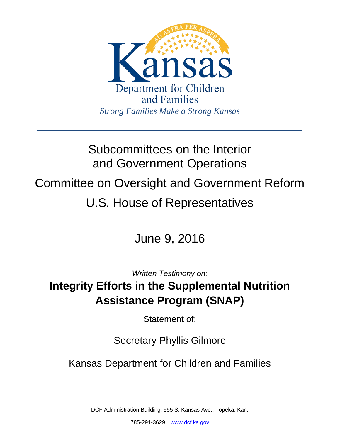

# Subcommittees on the Interior and Government Operations

Committee on Oversight and Government Reform

# U.S. House of Representatives

June 9, 2016

*Written Testimony on:*

## **Integrity Efforts in the Supplemental Nutrition Assistance Program (SNAP)**

Statement of:

## Secretary Phyllis Gilmore

Kansas Department for Children and Families

DCF Administration Building, 555 S. Kansas Ave., Topeka, Kan.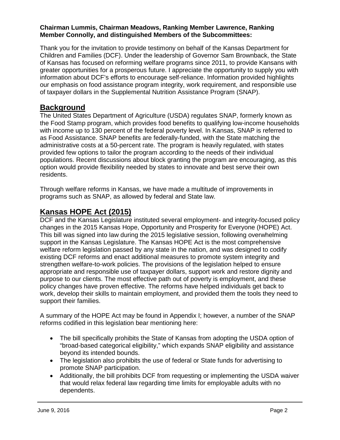#### **Chairman Lummis, Chairman Meadows, Ranking Member Lawrence, Ranking Member Connolly, and distinguished Members of the Subcommittees:**

Thank you for the invitation to provide testimony on behalf of the Kansas Department for Children and Families (DCF). Under the leadership of Governor Sam Brownback, the State of Kansas has focused on reforming welfare programs since 2011, to provide Kansans with greater opportunities for a prosperous future. I appreciate the opportunity to supply you with information about DCF's efforts to encourage self-reliance. Information provided highlights our emphasis on food assistance program integrity, work requirement, and responsible use of taxpayer dollars in the Supplemental Nutrition Assistance Program (SNAP).

## **Background**

The United States Department of Agriculture (USDA) regulates SNAP, formerly known as the Food Stamp program, which provides food benefits to qualifying low-income households with income up to 130 percent of the federal poverty level. In Kansas, SNAP is referred to as Food Assistance. SNAP benefits are federally-funded, with the State matching the administrative costs at a 50-percent rate. The program is heavily regulated, with states provided few options to tailor the program according to the needs of their individual populations. Recent discussions about block granting the program are encouraging, as this option would provide flexibility needed by states to innovate and best serve their own residents.

Through welfare reforms in Kansas, we have made a multitude of improvements in programs such as SNAP, as allowed by federal and State law.

## **Kansas HOPE Act (2015)**

DCF and the Kansas Legislature instituted several employment- and integrity-focused policy changes in the 2015 Kansas Hope, Opportunity and Prosperity for Everyone (HOPE) Act. This bill was signed into law during the 2015 legislative session, following overwhelming support in the Kansas Legislature. The Kansas HOPE Act is the most comprehensive welfare reform legislation passed by any state in the nation, and was designed to codify existing DCF reforms and enact additional measures to promote system integrity and strengthen welfare-to-work policies. The provisions of the legislation helped to ensure appropriate and responsible use of taxpayer dollars, support work and restore dignity and purpose to our clients. The most effective path out of poverty is employment, and these policy changes have proven effective. The reforms have helped individuals get back to work, develop their skills to maintain employment, and provided them the tools they need to support their families.

A summary of the HOPE Act may be found in Appendix I; however, a number of the SNAP reforms codified in this legislation bear mentioning here:

- The bill specifically prohibits the State of Kansas from adopting the USDA option of "broad-based categorical eligibility," which expands SNAP eligibility and assistance beyond its intended bounds.
- The legislation also prohibits the use of federal or State funds for advertising to promote SNAP participation.
- Additionally, the bill prohibits DCF from requesting or implementing the USDA waiver that would relax federal law regarding time limits for employable adults with no dependents.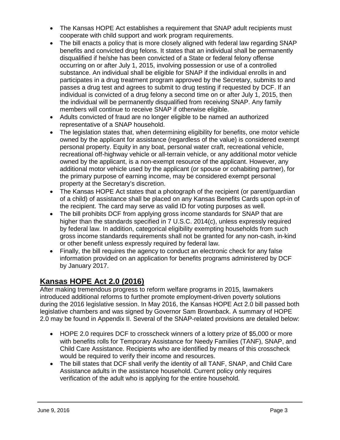- The Kansas HOPE Act establishes a requirement that SNAP adult recipients must cooperate with child support and work program requirements.
- The bill enacts a policy that is more closely aligned with federal law regarding SNAP benefits and convicted drug felons. It states that an individual shall be permanently disqualified if he/she has been convicted of a State or federal felony offense occurring on or after July 1, 2015, involving possession or use of a controlled substance. An individual shall be eligible for SNAP if the individual enrolls in and participates in a drug treatment program approved by the Secretary, submits to and passes a drug test and agrees to submit to drug testing if requested by DCF. If an individual is convicted of a drug felony a second time on or after July 1, 2015, then the individual will be permanently disqualified from receiving SNAP. Any family members will continue to receive SNAP if otherwise eligible.
- Adults convicted of fraud are no longer eligible to be named an authorized representative of a SNAP household.
- The legislation states that, when determining eligibility for benefits, one motor vehicle owned by the applicant for assistance (regardless of the value) is considered exempt personal property. Equity in any boat, personal water craft, recreational vehicle, recreational off-highway vehicle or all-terrain vehicle, or any additional motor vehicle owned by the applicant, is a non-exempt resource of the applicant. However, any additional motor vehicle used by the applicant (or spouse or cohabiting partner), for the primary purpose of earning income, may be considered exempt personal property at the Secretary's discretion.
- The Kansas HOPE Act states that a photograph of the recipient (or parent/guardian of a child) of assistance shall be placed on any Kansas Benefits Cards upon opt-in of the recipient. The card may serve as valid ID for voting purposes as well.
- The bill prohibits DCF from applying gross income standards for SNAP that are higher than the standards specified in 7 U.S.C. 2014(c), unless expressly required by federal law. In addition, categorical eligibility exempting households from such gross income standards requirements shall not be granted for any non-cash, in-kind or other benefit unless expressly required by federal law.
- Finally, the bill requires the agency to conduct an electronic check for any false information provided on an application for benefits programs administered by DCF by January 2017.

## **Kansas HOPE Act 2.0 (2016)**

After making tremendous progress to reform welfare programs in 2015, lawmakers introduced additional reforms to further promote employment-driven poverty solutions during the 2016 legislative session. In May 2016, the Kansas HOPE Act 2.0 bill passed both legislative chambers and was signed by Governor Sam Brownback. A summary of HOPE 2.0 may be found in Appendix II. Several of the SNAP-related provisions are detailed below:

- HOPE 2.0 requires DCF to crosscheck winners of a lottery prize of \$5,000 or more with benefits rolls for Temporary Assistance for Needy Families (TANF), SNAP, and Child Care Assistance. Recipients who are identified by means of this crosscheck would be required to verify their income and resources.
- The bill states that DCF shall verify the identity of all TANF, SNAP, and Child Care Assistance adults in the assistance household. Current policy only requires verification of the adult who is applying for the entire household.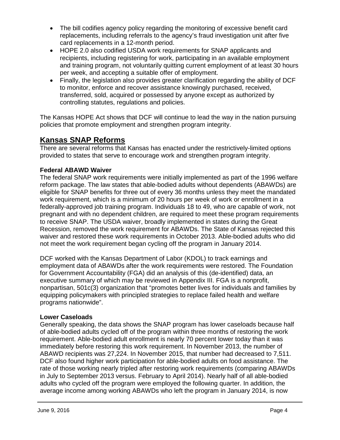- The bill codifies agency policy regarding the monitoring of excessive benefit card replacements, including referrals to the agency's fraud investigation unit after five card replacements in a 12-month period.
- HOPE 2.0 also codified USDA work requirements for SNAP applicants and recipients, including registering for work, participating in an available employment and training program, not voluntarily quitting current employment of at least 30 hours per week, and accepting a suitable offer of employment.
- Finally, the legislation also provides greater clarification regarding the ability of DCF to monitor, enforce and recover assistance knowingly purchased, received, transferred, sold, acquired or possessed by anyone except as authorized by controlling statutes, regulations and policies.

The Kansas HOPE Act shows that DCF will continue to lead the way in the nation pursuing policies that promote employment and strengthen program integrity.

## **Kansas SNAP Reforms**

There are several reforms that Kansas has enacted under the restrictively-limited options provided to states that serve to encourage work and strengthen program integrity.

#### **Federal ABAWD Waiver**

The federal SNAP work requirements were initially implemented as part of the 1996 welfare reform package. The law states that able-bodied adults without dependents (ABAWDs) are eligible for SNAP benefits for three out of every 36 months unless they meet the mandated work requirement, which is a minimum of 20 hours per week of work or enrollment in a federally-approved job training program. Individuals 18 to 49, who are capable of work, not pregnant and with no dependent children, are required to meet these program requirements to receive SNAP. The USDA waiver, broadly implemented in states during the Great Recession, removed the work requirement for ABAWDs. The State of Kansas rejected this waiver and restored these work requirements in October 2013. Able-bodied adults who did not meet the work requirement began cycling off the program in January 2014.

DCF worked with the Kansas Department of Labor (KDOL) to track earnings and employment data of ABAWDs after the work requirements were restored. The Foundation for Government Accountability (FGA) did an analysis of this (de-identified) data, an executive summary of which may be reviewed in Appendix III. FGA is a nonprofit, nonpartisan, 501c(3) organization that "promotes better lives for individuals and families by equipping policymakers with principled strategies to replace failed health and welfare programs nationwide".

#### **Lower Caseloads**

Generally speaking, the data shows the SNAP program has lower caseloads because half of able-bodied adults cycled off of the program within three months of restoring the work requirement. Able-bodied adult enrollment is nearly 70 percent lower today than it was immediately before restoring this work requirement. In November 2013, the number of ABAWD recipients was 27,224. In November 2015, that number had decreased to 7,511. DCF also found higher work participation for able-bodied adults on food assistance. The rate of those working nearly tripled after restoring work requirements (comparing ABAWDs in July to September 2013 versus. February to April 2014). Nearly half of all able-bodied adults who cycled off the program were employed the following quarter. In addition, the average income among working ABAWDs who left the program in January 2014, is now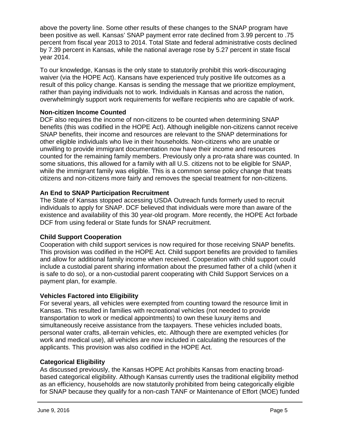above the poverty line. Some other results of these changes to the SNAP program have been positive as well. Kansas' SNAP payment error rate declined from 3.99 percent to .75 percent from fiscal year 2013 to 2014. Total State and federal administrative costs declined by 7.39 percent in Kansas, while the national average rose by 5.27 percent in state fiscal year 2014.

To our knowledge, Kansas is the only state to statutorily prohibit this work-discouraging waiver (via the HOPE Act). Kansans have experienced truly positive life outcomes as a result of this policy change. Kansas is sending the message that we prioritize employment, rather than paying individuals not to work. Individuals in Kansas and across the nation, overwhelmingly support work requirements for welfare recipients who are capable of work.

#### **Non-citizen Income Counted**

DCF also requires the income of non-citizens to be counted when determining SNAP benefits (this was codified in the HOPE Act). Although ineligible non-citizens cannot receive SNAP benefits, their income and resources are relevant to the SNAP determinations for other eligible individuals who live in their households. Non-citizens who are unable or unwilling to provide immigrant documentation now have their income and resources counted for the remaining family members. Previously only a pro-rata share was counted. In some situations, this allowed for a family with all U.S. citizens not to be eligible for SNAP, while the immigrant family was eligible. This is a common sense policy change that treats citizens and non-citizens more fairly and removes the special treatment for non-citizens.

#### **An End to SNAP Participation Recruitment**

The State of Kansas stopped accessing USDA Outreach funds formerly used to recruit individuals to apply for SNAP. DCF believed that individuals were more than aware of the existence and availability of this 30 year-old program. More recently, the HOPE Act forbade DCF from using federal or State funds for SNAP recruitment.

#### **Child Support Cooperation**

Cooperation with child support services is now required for those receiving SNAP benefits. This provision was codified in the HOPE Act. Child support benefits are provided to families and allow for additional family income when received. Cooperation with child support could include a custodial parent sharing information about the presumed father of a child (when it is safe to do so), or a non-custodial parent cooperating with Child Support Services on a payment plan, for example.

#### **Vehicles Factored into Eligibility**

For several years, all vehicles were exempted from counting toward the resource limit in Kansas. This resulted in families with recreational vehicles (not needed to provide transportation to work or medical appointments) to own these luxury items and simultaneously receive assistance from the taxpayers. These vehicles included boats, personal water crafts, all-terrain vehicles, etc. Although there are exempted vehicles (for work and medical use), all vehicles are now included in calculating the resources of the applicants. This provision was also codified in the HOPE Act.

#### **Categorical Eligibility**

As discussed previously, the Kansas HOPE Act prohibits Kansas from enacting broadbased categorical eligibility. Although Kansas currently uses the traditional eligibility method as an efficiency, households are now statutorily prohibited from being categorically eligible for SNAP because they qualify for a non-cash TANF or Maintenance of Effort (MOE) funded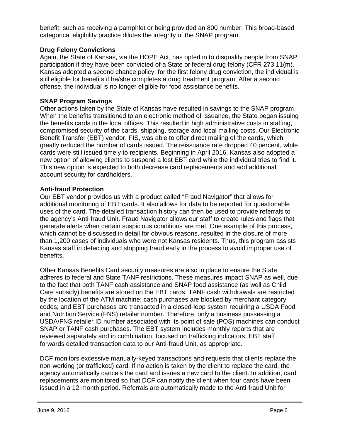benefit, such as receiving a pamphlet or being provided an 800 number. This broad-based categorical eligibility practice dilutes the integrity of the SNAP program.

#### **Drug Felony Convictions**

Again, the State of Kansas, via the HOPE Act, has opted in to disqualify people from SNAP participation if they have been convicted of a State or federal drug felony (CFR 273.11(m). Kansas adopted a second chance policy: for the first felony drug conviction, the individual is still eligible for benefits if he/she completes a drug treatment program. After a second offense, the individual is no longer eligible for food assistance benefits.

#### **SNAP Program Savings**

Other actions taken by the State of Kansas have resulted in savings to the SNAP program. When the benefits transitioned to an electronic method of issuance, the State began issuing the benefits cards in the local offices. This resulted in high administrative costs in staffing, compromised security of the cards, shipping, storage and local mailing costs. Our Electronic Benefit Transfer (EBT) vendor, FIS, was able to offer direct mailing of the cards, which greatly reduced the number of cards issued. The reissuance rate dropped 40 percent, while cards were still issued timely to recipients. Beginning in April 2016, Kansas also adopted a new option of allowing clients to suspend a lost EBT card while the individual tries to find it. This new option is expected to both decrease card replacements and add additional account security for cardholders.

#### **Anti-fraud Protection**

Our EBT vendor provides us with a product called "Fraud Navigator" that allows for additional monitoring of EBT cards. It also allows for data to be reported for questionable uses of the card. The detailed transaction history can then be used to provide referrals to the agency's Anti-fraud Unit. Fraud Navigator allows our staff to create rules and flags that generate alerts when certain suspicious conditions are met. One example of this process, which cannot be discussed in detail for obvious reasons, resulted in the closure of more than 1,200 cases of individuals who were not Kansas residents. Thus, this program assists Kansas staff in detecting and stopping fraud early in the process to avoid improper use of benefits.

Other Kansas Benefits Card security measures are also in place to ensure the State adheres to federal and State TANF restrictions. These measures impact SNAP as well, due to the fact that both TANF cash assistance and SNAP food assistance (as well as Child Care subsidy) benefits are stored on the EBT cards. TANF cash withdrawals are restricted by the location of the ATM machine; cash purchases are blocked by merchant category codes; and EBT purchases are transacted in a closed-loop system requiring a USDA Food and Nutrition Service (FNS) retailer number. Therefore, only a business possessing a USDA/FNS retailer ID number associated with its point of sale (POS) machines can conduct SNAP or TANF cash purchases. The EBT system includes monthly reports that are reviewed separately and in combination, focused on trafficking indicators. EBT staff forwards detailed transaction data to our Anti-fraud Unit, as appropriate.

DCF monitors excessive manually-keyed transactions and requests that clients replace the non-working (or trafficked) card. If no action is taken by the client to replace the card, the agency automatically cancels the card and issues a new card to the client. In addition, card replacements are monitored so that DCF can notify the client when four cards have been issued in a 12-month period. Referrals are automatically made to the Anti-fraud Unit for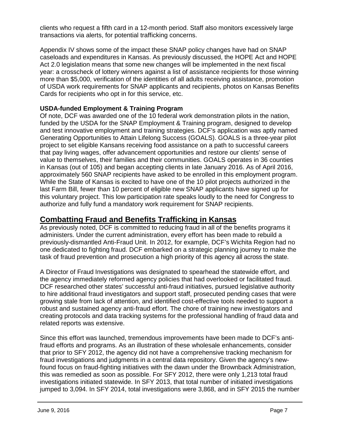clients who request a fifth card in a 12-month period. Staff also monitors excessively large transactions via alerts, for potential trafficking concerns.

Appendix IV shows some of the impact these SNAP policy changes have had on SNAP caseloads and expenditures in Kansas. As previously discussed, the HOPE Act and HOPE Act 2.0 legislation means that some new changes will be implemented in the next fiscal year: a crosscheck of lottery winners against a list of assistance recipients for those winning more than \$5,000, verification of the identities of all adults receiving assistance, promotion of USDA work requirements for SNAP applicants and recipients, photos on Kansas Benefits Cards for recipients who opt in for this service, etc.

#### **USDA-funded Employment & Training Program**

Of note, DCF was awarded one of the 10 federal work demonstration pilots in the nation, funded by the USDA for the SNAP Employment & Training program, designed to develop and test innovative employment and training strategies. DCF's application was aptly named Generating Opportunities to Attain Lifelong Success (GOALS). GOALS is a three-year pilot project to set eligible Kansans receiving food assistance on a path to successful careers that pay living wages, offer advancement opportunities and restore our clients' sense of value to themselves, their families and their communities. GOALS operates in 36 counties in Kansas (out of 105) and began accepting clients in late January 2016. As of April 2016, approximately 560 SNAP recipients have asked to be enrolled in this employment program. While the State of Kansas is excited to have one of the 10 pilot projects authorized in the last Farm Bill, fewer than 10 percent of eligible new SNAP applicants have signed up for this voluntary project. This low participation rate speaks loudly to the need for Congress to authorize and fully fund a mandatory work requirement for SNAP recipients.

## **Combatting Fraud and Benefits Trafficking in Kansas**

As previously noted, DCF is committed to reducing fraud in all of the benefits programs it administers. Under the current administration, every effort has been made to rebuild a previously-dismantled Anti-Fraud Unit. In 2012, for example, DCF's Wichita Region had no one dedicated to fighting fraud. DCF embarked on a strategic planning journey to make the task of fraud prevention and prosecution a high priority of this agency all across the state.

A Director of Fraud Investigations was designated to spearhead the statewide effort, and the agency immediately reformed agency policies that had overlooked or facilitated fraud. DCF researched other states' successful anti-fraud initiatives, pursued legislative authority to hire additional fraud investigators and support staff, prosecuted pending cases that were growing stale from lack of attention, and identified cost-effective tools needed to support a robust and sustained agency anti-fraud effort. The chore of training new investigators and creating protocols and data tracking systems for the professional handling of fraud data and related reports was extensive.

Since this effort was launched, tremendous improvements have been made to DCF's antifraud efforts and programs. As an illustration of these wholesale enhancements, consider that prior to SFY 2012, the agency did not have a comprehensive tracking mechanism for fraud investigations and judgments in a central data repository. Given the agency's newfound focus on fraud-fighting initiatives with the dawn under the Brownback Administration, this was remedied as soon as possible. For SFY 2012, there were only 1,213 total fraud investigations initiated statewide. In SFY 2013, that total number of initiated investigations jumped to 3,094. In SFY 2014, total investigations were 3,868, and in SFY 2015 the number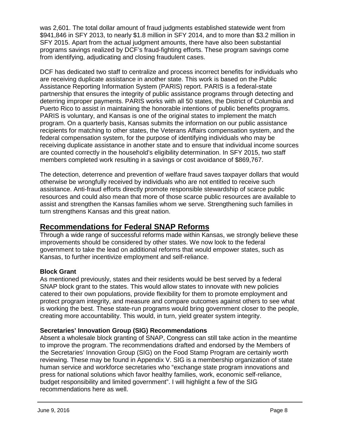was 2,601. The total dollar amount of fraud judgments established statewide went from \$941,846 in SFY 2013, to nearly \$1.8 million in SFY 2014, and to more than \$3.2 million in SFY 2015. Apart from the actual judgment amounts, there have also been substantial programs savings realized by DCF's fraud-fighting efforts. These program savings come from identifying, adjudicating and closing fraudulent cases.

DCF has dedicated two staff to centralize and process incorrect benefits for individuals who are receiving duplicate assistance in another state. This work is based on the Public Assistance Reporting Information System (PARIS) report. PARIS is a federal-state partnership that ensures the integrity of public assistance programs through detecting and deterring improper payments. PARIS works with all 50 states, the District of Columbia and Puerto Rico to assist in maintaining the honorable intentions of public benefits programs. PARIS is voluntary, and Kansas is one of the original states to implement the match program. On a quarterly basis, Kansas submits the information on our public assistance recipients for matching to other states, the Veterans Affairs compensation system, and the federal compensation system, for the purpose of identifying individuals who may be receiving duplicate assistance in another state and to ensure that individual income sources are counted correctly in the household's eligibility determination. In SFY 2015, two staff members completed work resulting in a savings or cost avoidance of \$869,767.

The detection, deterrence and prevention of welfare fraud saves taxpayer dollars that would otherwise be wrongfully received by individuals who are not entitled to receive such assistance. Anti-fraud efforts directly promote responsible stewardship of scarce public resources and could also mean that more of those scarce public resources are available to assist and strengthen the Kansas families whom we serve. Strengthening such families in turn strengthens Kansas and this great nation.

## **Recommendations for Federal SNAP Reforms**

Through a wide range of successful reforms made within Kansas, we strongly believe these improvements should be considered by other states. We now look to the federal government to take the lead on additional reforms that would empower states, such as Kansas, to further incentivize employment and self-reliance.

#### **Block Grant**

As mentioned previously, states and their residents would be best served by a federal SNAP block grant to the states. This would allow states to innovate with new policies catered to their own populations, provide flexibility for them to promote employment and protect program integrity, and measure and compare outcomes against others to see what is working the best. These state-run programs would bring government closer to the people, creating more accountability. This would, in turn, yield greater system integrity.

#### **Secretaries' Innovation Group (SIG) Recommendations**

Absent a wholesale block granting of SNAP, Congress can still take action in the meantime to improve the program. The recommendations drafted and endorsed by the Members of the Secretaries' Innovation Group (SIG) on the Food Stamp Program are certainly worth reviewing. These may be found in Appendix V. SIG is a membership organization of state human service and workforce secretaries who "exchange state program innovations and press for national solutions which favor healthy families, work, economic self-reliance, budget responsibility and limited government". I will highlight a few of the SIG recommendations here as well.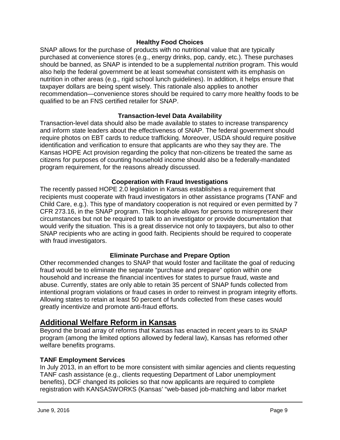#### **Healthy Food Choices**

SNAP allows for the purchase of products with no nutritional value that are typically purchased at convenience stores (e.g., energy drinks, pop, candy, etc.). These purchases should be banned, as SNAP is intended to be a supplemental *nutrition* program. This would also help the federal government be at least somewhat consistent with its emphasis on nutrition in other areas (e.g., rigid school lunch guidelines). In addition, it helps ensure that taxpayer dollars are being spent wisely. This rationale also applies to another recommendation—convenience stores should be required to carry more healthy foods to be qualified to be an FNS certified retailer for SNAP.

#### **Transaction-level Data Availability**

Transaction-level data should also be made available to states to increase transparency and inform state leaders about the effectiveness of SNAP. The federal government should require photos on EBT cards to reduce trafficking. Moreover, USDA should require positive identification and verification to ensure that applicants are who they say they are. The Kansas HOPE Act provision regarding the policy that non-citizens be treated the same as citizens for purposes of counting household income should also be a federally-mandated program requirement, for the reasons already discussed.

#### **Cooperation with Fraud Investigations**

The recently passed HOPE 2.0 legislation in Kansas establishes a requirement that recipients must cooperate with fraud investigators in other assistance programs (TANF and Child Care, e.g.). This type of mandatory cooperation is not required or even permitted by 7 CFR 273.16, in the SNAP program. This loophole allows for persons to misrepresent their circumstances but not be required to talk to an investigator or provide documentation that would verify the situation. This is a great disservice not only to taxpayers, but also to other SNAP recipients who are acting in good faith. Recipients should be required to cooperate with fraud investigators.

#### **Eliminate Purchase and Prepare Option**

Other recommended changes to SNAP that would foster and facilitate the goal of reducing fraud would be to eliminate the separate "purchase and prepare" option within one household and increase the financial incentives for states to pursue fraud, waste and abuse. Currently, states are only able to retain 35 percent of SNAP funds collected from intentional program violations or fraud cases in order to reinvest in program integrity efforts. Allowing states to retain at least 50 percent of funds collected from these cases would greatly incentivize and promote anti-fraud efforts.

## **Additional Welfare Reform in Kansas**

Beyond the broad array of reforms that Kansas has enacted in recent years to its SNAP program (among the limited options allowed by federal law), Kansas has reformed other welfare benefits programs.

#### **TANF Employment Services**

In July 2013, in an effort to be more consistent with similar agencies and clients requesting TANF cash assistance (e.g., clients requesting Department of Labor unemployment benefits), DCF changed its policies so that now applicants are required to complete registration with KANSASWORKS (Kansas' "web-based job-matching and labor market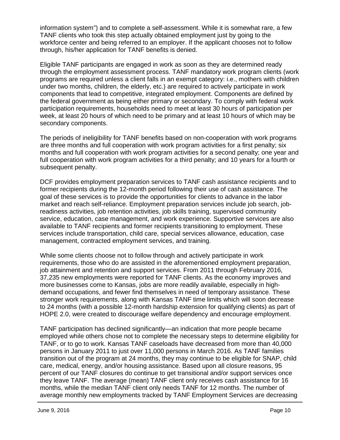information system") and to complete a self-assessment. While it is somewhat rare, a few TANF clients who took this step actually obtained employment just by going to the workforce center and being referred to an employer. If the applicant chooses not to follow through, his/her application for TANF benefits is denied.

Eligible TANF participants are engaged in work as soon as they are determined ready through the employment assessment process. TANF mandatory work program clients (work programs are required unless a client falls in an exempt category: i.e., mothers with children under two months, children, the elderly, etc.) are required to actively participate in work components that lead to competitive, integrated employment. Components are defined by the federal government as being either primary or secondary. To comply with federal work participation requirements, households need to meet at least 30 hours of participation per week, at least 20 hours of which need to be primary and at least 10 hours of which may be secondary components.

The periods of ineligibility for TANF benefits based on non-cooperation with work programs are three months and full cooperation with work program activities for a first penalty; six months and full cooperation with work program activities for a second penalty; one year and full cooperation with work program activities for a third penalty; and 10 years for a fourth or subsequent penalty.

DCF provides employment preparation services to TANF cash assistance recipients and to former recipients during the 12-month period following their use of cash assistance. The goal of these services is to provide the opportunities for clients to advance in the labor market and reach self-reliance. Employment preparation services include job search, jobreadiness activities, job retention activities, job skills training, supervised community service, education, case management, and work experience. Supportive services are also available to TANF recipients and former recipients transitioning to employment. These services include transportation, child care, special services allowance, education, case management, contracted employment services, and training.

While some clients choose not to follow through and actively participate in work requirements, those who do are assisted in the aforementioned employment preparation, job attainment and retention and support services. From 2011 through February 2016, 37,235 new employments were reported for TANF clients. As the economy improves and more businesses come to Kansas, jobs are more readily available, especially in highdemand occupations, and fewer find themselves in need of temporary assistance. These stronger work requirements, along with Kansas TANF time limits which will soon decrease to 24 months (with a possible 12-month hardship extension for qualifying clients) as part of HOPE 2.0, were created to discourage welfare dependency and encourage employment.

TANF participation has declined significantly—an indication that more people became employed while others chose not to complete the necessary steps to determine eligibility for TANF, or to go to work. Kansas TANF caseloads have decreased from more than 40,000 persons in January 2011 to just over 11,000 persons in March 2016. As TANF families transition out of the program at 24 months, they may continue to be eligible for SNAP, child care, medical, energy, and/or housing assistance. Based upon all closure reasons, 95 percent of our TANF closures do continue to get transitional and/or support services once they leave TANF. The average (mean) TANF client only receives cash assistance for 16 months, while the median TANF client only needs TANF for 12 months. The number of average monthly new employments tracked by TANF Employment Services are decreasing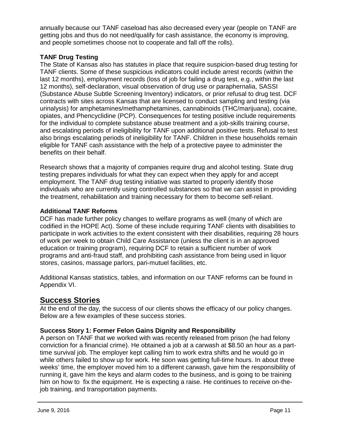annually because our TANF caseload has also decreased every year (people on TANF are getting jobs and thus do not need/qualify for cash assistance, the economy is improving, and people sometimes choose not to cooperate and fall off the rolls).

#### **TANF Drug Testing**

The State of Kansas also has statutes in place that require suspicion-based drug testing for TANF clients. Some of these suspicious indicators could include arrest records (within the last 12 months), employment records (loss of job for failing a drug test, e.g., within the last 12 months), self-declaration, visual observation of drug use or paraphernalia, SASSI (Substance Abuse Subtle Screening Inventory) indicators, or prior refusal to drug test. DCF contracts with sites across Kansas that are licensed to conduct sampling and testing (via urinalysis) for amphetamines/methamphetamines, cannabinoids (THC/marijuana), cocaine, opiates, and Phencyclidine (PCP). Consequences for testing positive include requirements for the individual to complete substance abuse treatment and a job-skills training course, and escalating periods of ineligibility for TANF upon additional positive tests. Refusal to test also brings escalating periods of ineligibility for TANF. Children in these households remain eligible for TANF cash assistance with the help of a protective payee to administer the benefits on their behalf.

Research shows that a majority of companies require drug and alcohol testing. State drug testing prepares individuals for what they can expect when they apply for and accept employment. The TANF drug testing initiative was started to properly identify those individuals who are currently using controlled substances so that we can assist in providing the treatment, rehabilitation and training necessary for them to become self-reliant.

#### **Additional TANF Reforms**

DCF has made further policy changes to welfare programs as well (many of which are codified in the HOPE Act). Some of these include requiring TANF clients with disabilities to participate in work activities to the extent consistent with their disabilities, requiring 28 hours of work per week to obtain Child Care Assistance (unless the client is in an approved education or training program), requiring DCF to retain a sufficient number of work programs and anti-fraud staff, and prohibiting cash assistance from being used in liquor stores, casinos, massage parlors, pari-mutuel facilities, etc.

Additional Kansas statistics, tables, and information on our TANF reforms can be found in Appendix VI.

## **Success Stories**

At the end of the day, the success of our clients shows the efficacy of our policy changes. Below are a few examples of these success stories.

#### **Success Story 1: Former Felon Gains Dignity and Responsibility**

A person on TANF that we worked with was recently released from prison (he had felony conviction for a financial crime). He obtained a job at a carwash at \$8.50 an hour as a parttime survival job. The employer kept calling him to work extra shifts and he would go in while others failed to show up for work. He soon was getting full-time hours. In about three weeks' time, the employer moved him to a different carwash, gave him the responsibility of running it, gave him the keys and alarm codes to the business, and is going to be training him on how to fix the equipment. He is expecting a raise. He continues to receive on-thejob training, and transportation payments.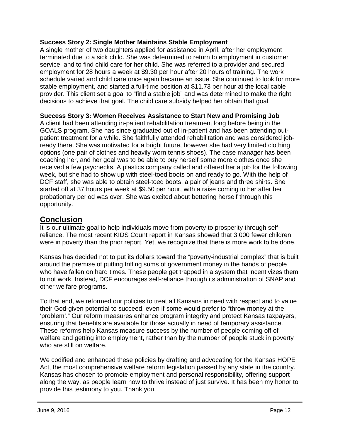#### **Success Story 2: Single Mother Maintains Stable Employment**

A single mother of two daughters applied for assistance in April, after her employment terminated due to a sick child. She was determined to return to employment in customer service, and to find child care for her child. She was referred to a provider and secured employment for 28 hours a week at \$9.30 per hour after 20 hours of training. The work schedule varied and child care once again became an issue. She continued to look for more stable employment, and started a full-time position at \$11.73 per hour at the local cable provider. This client set a goal to "find a stable job" and was determined to make the right decisions to achieve that goal. The child care subsidy helped her obtain that goal.

#### **Success Story 3: Women Receives Assistance to Start New and Promising Job**

A client had been attending in-patient rehabilitation treatment long before being in the GOALS program. She has since graduated out of in-patient and has been attending outpatient treatment for a while. She faithfully attended rehabilitation and was considered jobready there. She was motivated for a bright future, however she had very limited clothing options (one pair of clothes and heavily worn tennis shoes). The case manager has been coaching her, and her goal was to be able to buy herself some more clothes once she received a few paychecks. A plastics company called and offered her a job for the following week, but she had to show up with steel-toed boots on and ready to go. With the help of DCF staff, she was able to obtain steel-toed boots, a pair of jeans and three shirts. She started off at 37 hours per week at \$9.50 per hour, with a raise coming to her after her probationary period was over. She was excited about bettering herself through this opportunity.

## **Conclusion**

It is our ultimate goal to help individuals move from poverty to prosperity through selfreliance. The most recent KIDS Count report in Kansas showed that 3,000 fewer children were in poverty than the prior report. Yet, we recognize that there is more work to be done.

Kansas has decided not to put its dollars toward the "poverty-industrial complex" that is built around the premise of putting trifling sums of government money in the hands of people who have fallen on hard times. These people get trapped in a system that incentivizes them to not work. Instead, DCF encourages self-reliance through its administration of SNAP and other welfare programs.

To that end, we reformed our policies to treat all Kansans in need with respect and to value their God-given potential to succeed, even if some would prefer to "throw money at the 'problem'." Our reform measures enhance program integrity and protect Kansas taxpayers, ensuring that benefits are available for those actually in need of temporary assistance. These reforms help Kansas measure success by the number of people coming off of welfare and getting into employment, rather than by the number of people stuck in poverty who are still on welfare.

We codified and enhanced these policies by drafting and advocating for the Kansas HOPE Act, the most comprehensive welfare reform legislation passed by any state in the country. Kansas has chosen to promote employment and personal responsibility, offering support along the way, as people learn how to thrive instead of just survive. It has been my honor to provide this testimony to you. Thank you.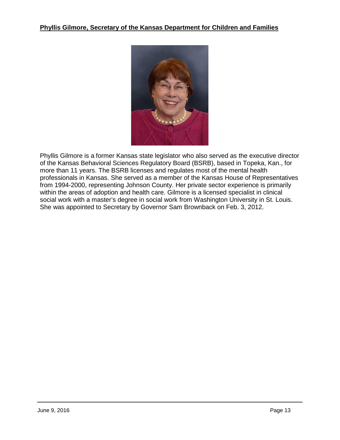

Phyllis Gilmore is a former Kansas state legislator who also served as the executive director of the Kansas Behavioral Sciences Regulatory Board (BSRB), based in Topeka, Kan., for more than 11 years. The BSRB licenses and regulates most of the mental health professionals in Kansas. She served as a member of the Kansas House of Representatives from 1994-2000, representing Johnson County. Her private sector experience is primarily within the areas of adoption and health care. Gilmore is a licensed specialist in clinical social work with a master's degree in social work from Washington University in St. Louis. She was appointed to Secretary by Governor Sam Brownback on Feb. 3, 2012.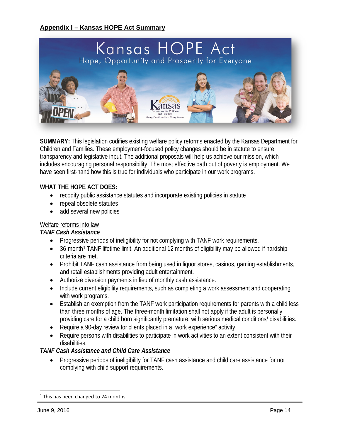#### **Appendix I – Kansas HOPE Act Summary**



**SUMMARY:** This legislation codifies existing welfare policy reforms enacted by the Kansas Department for Children and Families. These employment-focused policy changes should be in statute to ensure transparency and legislative input. The additional proposals will help us achieve our mission, which includes encouraging personal responsibility. The most effective path out of poverty is employment. We have seen first-hand how this is true for individuals who participate in our work programs.

#### **WHAT THE HOPE ACT DOES:**

- recodify public assistance statutes and incorporate existing policies in statute
- repeal obsolete statutes
- add several new policies

#### Welfare reforms into law

#### *TANF Cash Assistance*

- Progressive periods of ineligibility for not complying with TANF work requirements.
- 36-month<sup>[1](#page-13-0)</sup> TANF lifetime limit. An additional 12 months of eligibility may be allowed if hardship criteria are met.
- Prohibit TANF cash assistance from being used in liquor stores, casinos, gaming establishments, and retail establishments providing adult entertainment.
- Authorize diversion payments in lieu of monthly cash assistance.
- Include current eligibility requirements, such as completing a work assessment and cooperating with work programs.
- Establish an exemption from the TANF work participation requirements for parents with a child less than three months of age. The three-month limitation shall not apply if the adult is personally providing care for a child born significantly premature, with serious medical conditions/ disabilities.
- Require a 90-day review for clients placed in a "work experience" activity.
- Require persons with disabilities to participate in work activities to an extent consistent with their disabilities.

#### *TANF Cash Assistance and Child Care Assistance*

• Progressive periods of ineligibility for TANF cash assistance and child care assistance for not complying with child support requirements.

l

<span id="page-13-0"></span> $1$  This has been changed to 24 months.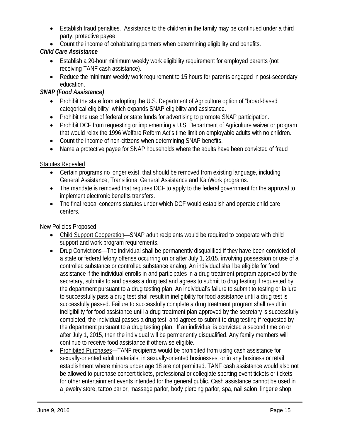- Establish fraud penalties. Assistance to the children in the family may be continued under a third party, protective payee.
- Count the income of cohabitating partners when determining eligibility and benefits.

## *Child Care Assistance*

- Establish a 20-hour minimum weekly work eligibility requirement for employed parents (not receiving TANF cash assistance).
- Reduce the minimum weekly work requirement to 15 hours for parents engaged in post-secondary education.

### *SNAP (Food Assistance)*

- Prohibit the state from adopting the U.S. Department of Agriculture option of "broad-based" categorical eligibility" which expands SNAP eligibility and assistance.
- Prohibit the use of federal or state funds for advertising to promote SNAP participation.
- Prohibit DCF from requesting or implementing a U.S. Department of Agriculture waiver or program that would relax the 1996 Welfare Reform Act's time limit on employable adults with no children.
- Count the income of non-citizens when determining SNAP benefits.
- Name a protective payee for SNAP households where the adults have been convicted of fraud

### Statutes Repealed

- Certain programs no longer exist, that should be removed from existing language, including General Assistance, Transitional General Assistance and KanWork programs.
- The mandate is removed that requires DCF to apply to the federal government for the approval to implement electronic benefits transfers.
- The final repeal concerns statutes under which DCF would establish and operate child care centers.

## New Policies Proposed

- Child Support Cooperation—SNAP adult recipients would be required to cooperate with child support and work program requirements.
- Drug Convictions—The individual shall be permanently disqualified if they have been convicted of a state or federal felony offense occurring on or after July 1, 2015, involving possession or use of a controlled substance or controlled substance analog. An individual shall be eligible for food assistance if the individual enrolls in and participates in a drug treatment program approved by the secretary, submits to and passes a drug test and agrees to submit to drug testing if requested by the department pursuant to a drug testing plan. An individual's failure to submit to testing or failure to successfully pass a drug test shall result in ineligibility for food assistance until a drug test is successfully passed. Failure to successfully complete a drug treatment program shall result in ineligibility for food assistance until a drug treatment plan approved by the secretary is successfully completed, the individual passes a drug test, and agrees to submit to drug testing if requested by the department pursuant to a drug testing plan. If an individual is convicted a second time on or after July 1, 2015, then the individual will be permanently disqualified. Any family members will continue to receive food assistance if otherwise eligible.
- Prohibited Purchases—TANF recipients would be prohibited from using cash assistance for sexually-oriented adult materials, in sexually-oriented businesses, or in any business or retail establishment where minors under age 18 are not permitted. TANF cash assistance would also not be allowed to purchase concert tickets, professional or collegiate sporting event tickets or tickets for other entertainment events intended for the general public. Cash assistance cannot be used in a jewelry store, tattoo parlor, massage parlor, body piercing parlor, spa, nail salon, lingerie shop,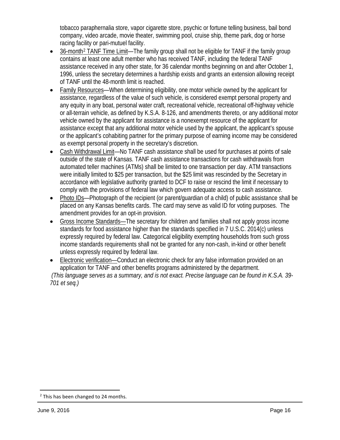tobacco paraphernalia store, vapor cigarette store, psychic or fortune telling business, bail bond company, video arcade, movie theater, swimming pool, cruise ship, theme park, dog or horse racing facility or pari-mutuel facility.

- 36-month[2](#page-15-0) TANF Time Limit—The family group shall not be eligible for TANF if the family group contains at least one adult member who has received TANF, including the federal TANF assistance received in any other state, for 36 calendar months beginning on and after October 1, 1996, unless the secretary determines a hardship exists and grants an extension allowing receipt of TANF until the 48-month limit is reached.
- Family Resources—When determining eligibility, one motor vehicle owned by the applicant for assistance, regardless of the value of such vehicle, is considered exempt personal property and any equity in any boat, personal water craft, recreational vehicle, recreational off-highway vehicle or all-terrain vehicle, as defined by K.S.A. 8-126, and amendments thereto, or any additional motor vehicle owned by the applicant for assistance is a nonexempt resource of the applicant for assistance except that any additional motor vehicle used by the applicant, the applicant's spouse or the applicant's cohabiting partner for the primary purpose of earning income may be considered as exempt personal property in the secretary's discretion.
- Cash Withdrawal Limit—No TANF cash assistance shall be used for purchases at points of sale outside of the state of Kansas. TANF cash assistance transactions for cash withdrawals from automated teller machines (ATMs) shall be limited to one transaction per day. ATM transactions were initially limited to \$25 per transaction, but the \$25 limit was rescinded by the Secretary in accordance with legislative authority granted to DCF to raise or rescind the limit if necessary to comply with the provisions of federal law which govern adequate access to cash assistance.
- Photo IDs—Photograph of the recipient (or parent/guardian of a child) of public assistance shall be placed on any Kansas benefits cards. The card may serve as valid ID for voting purposes. The amendment provides for an opt-in provision.
- Gross Income Standards—The secretary for children and families shall not apply gross income standards for food assistance higher than the standards specified in 7 U.S.C. 2014(c) unless expressly required by federal law. Categorical eligibility exempting households from such gross income standards requirements shall not be granted for any non-cash, in-kind or other benefit unless expressly required by federal law.
- Electronic verification—Conduct an electronic check for any false information provided on an application for TANF and other benefits programs administered by the department.

 *(This language serves as a summary, and is not exact. Precise language can be found in K.S.A. 39- 701 et seq.)*

l

<span id="page-15-0"></span> $2$  This has been changed to 24 months.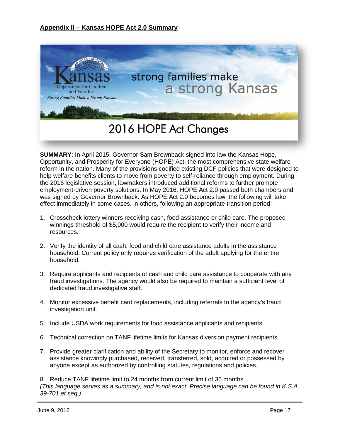

**SUMMARY**: In April 2015, Governor Sam Brownback signed into law the Kansas Hope, Opportunity, and Prosperity for Everyone (HOPE) Act, the most comprehensive state welfare reform in the nation. Many of the provisions codified existing DCF policies that were designed to help welfare benefits clients to move from poverty to self-reliance through employment. During the 2016 legislative session, lawmakers introduced additional reforms to further promote employment-driven poverty solutions. In May 2016, HOPE Act 2.0 passed both chambers and was signed by Governor Brownback. As HOPE Act 2.0 becomes law, the following will take effect immediately in some cases, in others, following an appropriate transition period:

- 1. Crosscheck lottery winners receiving cash, food assistance or child care. The proposed winnings threshold of \$5,000 would require the recipient to verify their income and resources.
- 2. Verify the identity of all cash, food and child care assistance adults in the assistance household. Current policy only requires verification of the adult applying for the entire household.
- 3. Require applicants and recipients of cash and child care assistance to cooperate with any fraud investigations. The agency would also be required to maintain a sufficient level of dedicated fraud investigative staff.
- 4. Monitor excessive benefit card replacements, including referrals to the agency's fraud investigation unit.
- 5. Include USDA work requirements for food assistance applicants and recipients.
- 6. Technical correction on TANF lifetime limits for Kansas diversion payment recipients.
- 7. Provide greater clarification and ability of the Secretary to monitor, enforce and recover assistance knowingly purchased, received, transferred, sold, acquired or possessed by anyone except as authorized by controlling statutes, regulations and policies.

8. Reduce TANF lifetime limit to 24 months from current limit of 36 months. *(This language serves as a summary, and is not exact. Precise language can be found in K.S.A. 39-701 et seq.)*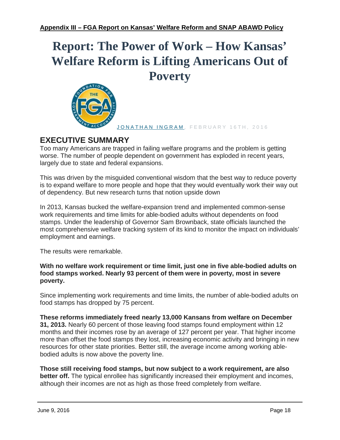# **Report: The Power of Work – How Kansas' Welfare Reform is Lifting Americans Out of Poverty**



[JONATHAN INGRAM](http://thefga.org/author/jonathan-ingram/), FEBRUARY 16TH, 2016

## **EXECUTIVE SUMMARY**

Too many Americans are trapped in failing welfare programs and the problem is getting worse. The number of people dependent on government has exploded in recent years, largely due to state and federal expansions.

This was driven by the misguided conventional wisdom that the best way to reduce poverty is to expand welfare to more people and hope that they would eventually work their way out of dependency. But new research turns that notion upside down

In 2013, Kansas bucked the welfare-expansion trend and implemented common-sense work requirements and time limits for able-bodied adults without dependents on food stamps. Under the leadership of Governor Sam Brownback, state officials launched the most comprehensive welfare tracking system of its kind to monitor the impact on individuals' employment and earnings.

The results were remarkable.

**With no welfare work requirement or time limit, just one in five able-bodied adults on food stamps worked. Nearly 93 percent of them were in poverty, most in severe poverty.**

Since implementing work requirements and time limits, the number of able-bodied adults on food stamps has dropped by 75 percent.

**These reforms immediately freed nearly 13,000 Kansans from welfare on December 31, 2013.** Nearly 60 percent of those leaving food stamps found employment within 12 months and their incomes rose by an average of 127 percent per year. That higher income more than offset the food stamps they lost, increasing economic activity and bringing in new resources for other state priorities. Better still, the average income among working ablebodied adults is now above the poverty line.

**Those still receiving food stamps, but now subject to a work requirement, are also better off.** The typical enrollee has significantly increased their employment and incomes, although their incomes are not as high as those freed completely from welfare.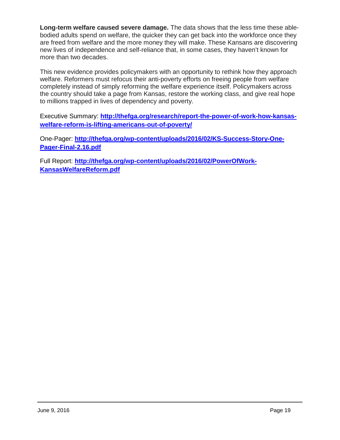**Long-term welfare caused severe damage.** The data shows that the less time these ablebodied adults spend on welfare, the quicker they can get back into the workforce once they are freed from welfare and the more money they will make. These Kansans are discovering new lives of independence and self-reliance that, in some cases, they haven't known for more than two decades.

This new evidence provides policymakers with an opportunity to rethink how they approach welfare. Reformers must refocus their anti-poverty efforts on freeing people from welfare completely instead of simply reforming the welfare experience itself. Policymakers across the country should take a page from Kansas, restore the working class, and give real hope to millions trapped in lives of dependency and poverty.

Executive Summary: **[http://thefga.org/research/report-the-power-of-work-how-kansas](http://thefga.org/research/report-the-power-of-work-how-kansas-welfare-reform-is-lifting-americans-out-of-poverty/)[welfare-reform-is-lifting-americans-out-of-poverty/](http://thefga.org/research/report-the-power-of-work-how-kansas-welfare-reform-is-lifting-americans-out-of-poverty/)**

One-Pager: **[http://thefga.org/wp-content/uploads/2016/02/KS-Success-Story-One-](http://thefga.org/wp-content/uploads/2016/02/KS-Success-Story-One-Pager-Final-2.16.pdf)[Pager-Final-2.16.pdf](http://thefga.org/wp-content/uploads/2016/02/KS-Success-Story-One-Pager-Final-2.16.pdf)**

Full Report: **[http://thefga.org/wp-content/uploads/2016/02/PowerOfWork-](http://thefga.org/wp-content/uploads/2016/02/PowerOfWork-KansasWelfareReform.pdf)[KansasWelfareReform.pdf](http://thefga.org/wp-content/uploads/2016/02/PowerOfWork-KansasWelfareReform.pdf)**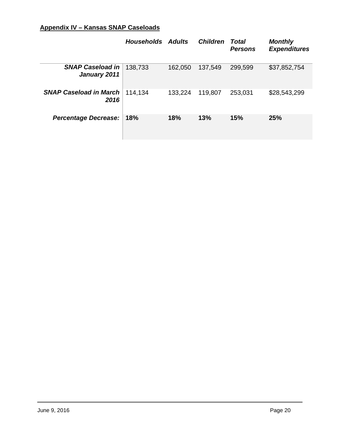| Appendix IV - Kansas SNAP Caseloads |  |
|-------------------------------------|--|
|-------------------------------------|--|

|                                         | <b>Households</b> Adults |         | <b>Children</b> | Total<br><b>Persons</b> | <b>Monthly</b><br><b>Expenditures</b> |
|-----------------------------------------|--------------------------|---------|-----------------|-------------------------|---------------------------------------|
| <b>SNAP Caseload in</b><br>January 2011 | 138,733                  | 162,050 | 137,549         | 299,599                 | \$37,852,754                          |
| <b>SNAP Caseload in March</b><br>2016   | 114,134                  | 133,224 | 119,807         | 253,031                 | \$28,543,299                          |
| <b>Percentage Decrease:</b>             | 18%                      | 18%     | 13%             | 15%                     | 25%                                   |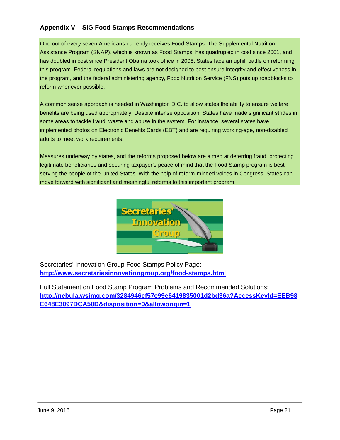#### **Appendix V – SIG Food Stamps Recommendations**

One out of every seven Americans currently receives Food Stamps. The Supplemental Nutrition Assistance Program (SNAP), which is known as Food Stamps, has quadrupled in cost since 2001, and has doubled in cost since President Obama took office in 2008. States face an uphill battle on reforming this program. Federal regulations and laws are not designed to best ensure integrity and effectiveness in the program, and the federal administering agency, Food Nutrition Service (FNS) puts up roadblocks to reform whenever possible.

A common sense approach is needed in Washington D.C. to allow states the ability to ensure welfare benefits are being used appropriately. Despite intense opposition, States have made significant strides in some areas to tackle fraud, waste and abuse in the system. For instance, several states have implemented photos on Electronic Benefits Cards (EBT) and are requiring working-age, non-disabled adults to meet work requirements.

Measures underway by states, and the reforms proposed below are aimed at deterring fraud, protecting legitimate beneficiaries and securing taxpayer's peace of mind that the Food Stamp program is best serving the people of the United States. With the help of reform-minded voices in Congress, States can move forward with significant and meaningful reforms to this important program.



Secretaries' Innovation Group Food Stamps Policy Page: **<http://www.secretariesinnovationgroup.org/food-stamps.html>**

Full Statement on Food Stamp Program Problems and Recommended Solutions: **[http://nebula.wsimg.com/3284946cf57e99e6419835001d2bd36a?AccessKeyId=EEB98](http://nebula.wsimg.com/3284946cf57e99e6419835001d2bd36a?AccessKeyId=EEB98E648E3097DCA50D&disposition=0&alloworigin=1) [E648E3097DCA50D&disposition=0&alloworigin=1](http://nebula.wsimg.com/3284946cf57e99e6419835001d2bd36a?AccessKeyId=EEB98E648E3097DCA50D&disposition=0&alloworigin=1)**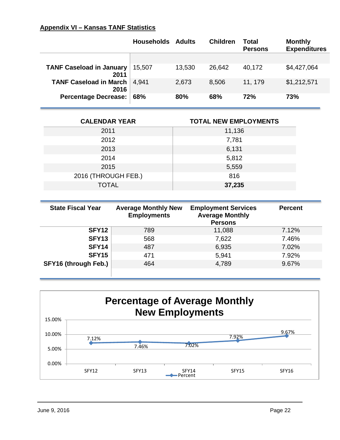#### **Appendix VI – Kansas TANF Statistics**

|                                         | <b>Households Adults</b> |        | <b>Children</b> | Total<br><b>Persons</b> | <b>Monthly</b><br><b>Expenditures</b> |
|-----------------------------------------|--------------------------|--------|-----------------|-------------------------|---------------------------------------|
|                                         |                          |        |                 |                         |                                       |
| <b>TANF Caseload in January</b><br>2011 | 15,507                   | 13,530 | 26,642          | 40,172                  | \$4,427,064                           |
| <b>TANF Caseload in March</b><br>2016   | 4.941                    | 2,673  | 8,506           | 11, 179                 | \$1,212,571                           |
| <b>Percentage Decrease:</b>             | 68%                      | 80%    | 68%             | 72%                     | 73%                                   |

| <b>CALENDAR YEAR</b> | <b>TOTAL NEW EMPLOYMENTS</b> |
|----------------------|------------------------------|
| 2011                 | 11,136                       |
| 2012                 | 7,781                        |
| 2013                 | 6,131                        |
| 2014                 | 5,812                        |
| 2015                 | 5,559                        |
| 2016 (THROUGH FEB.)  | 816                          |
| <b>TOTAL</b>         | 37,235                       |

| <b>State Fiscal Year</b> | <b>Average Monthly New</b><br><b>Employments</b> | <b>Employment Services</b><br><b>Average Monthly</b><br><b>Persons</b> | <b>Percent</b> |
|--------------------------|--------------------------------------------------|------------------------------------------------------------------------|----------------|
| SFY <sub>12</sub>        | 789                                              | 11,088                                                                 | 7.12%          |
| SFY <sub>13</sub>        | 568                                              | 7,622                                                                  | 7.46%          |
| SFY14                    | 487                                              | 6,935                                                                  | 7.02%          |
| <b>SFY15</b>             | 471                                              | 5,941                                                                  | 7.92%          |
| SFY16 (through Feb.)     | 464                                              | 4,789                                                                  | 9.67%          |
|                          |                                                  |                                                                        |                |